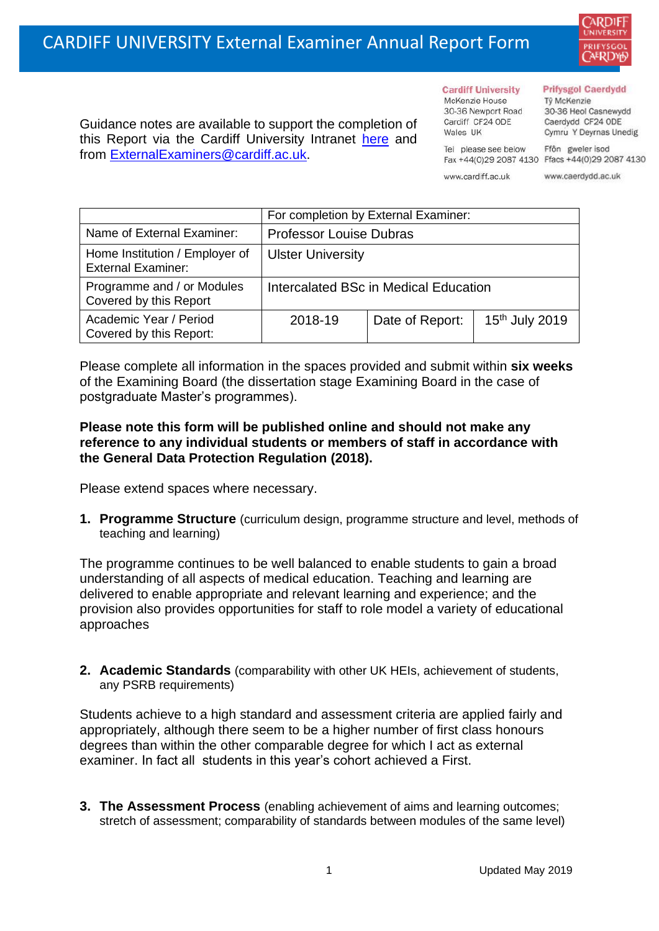

Guidance notes are available to support the completion of this Report via the Cardiff University Intranet [here](https://intranet.cardiff.ac.uk/staff/teaching-and-supporting-students/exams-and-assessment/exam-boards-and-external-examiners/for-current-external-examiners/external-examiners-reports) and from [ExternalExaminers@cardiff.ac.uk.](mailto:ExternalExaminers@cardiff.ac.uk)

#### **Prifysgol Caerdydd**

Từ McKenzie 30-36 Heol Casnewydd Caerdydd CF24 ODE Cymru Y Deyrnas Unedig

Tel please see below Ffôn gweler isod Fax +44(0)29 2087 4130 Ffacs +44(0)29 2087 4130

www.cardiff.ac.uk

**Cardiff University** 

30-36 Newport Road

McKenzie House

Cardiff CF24 ODE

Wales IIK

www.caerdydd.ac.uk

|                                                             | For completion by External Examiner:  |                 |                            |  |
|-------------------------------------------------------------|---------------------------------------|-----------------|----------------------------|--|
| Name of External Examiner:                                  | <b>Professor Louise Dubras</b>        |                 |                            |  |
| Home Institution / Employer of<br><b>External Examiner:</b> | <b>Ulster University</b>              |                 |                            |  |
| Programme and / or Modules<br>Covered by this Report        | Intercalated BSc in Medical Education |                 |                            |  |
| Academic Year / Period<br>Covered by this Report:           | 2018-19                               | Date of Report: | 15 <sup>th</sup> July 2019 |  |

Please complete all information in the spaces provided and submit within **six weeks** of the Examining Board (the dissertation stage Examining Board in the case of postgraduate Master's programmes).

#### **Please note this form will be published online and should not make any reference to any individual students or members of staff in accordance with the General Data Protection Regulation (2018).**

Please extend spaces where necessary.

**1. Programme Structure** (curriculum design, programme structure and level, methods of teaching and learning)

The programme continues to be well balanced to enable students to gain a broad understanding of all aspects of medical education. Teaching and learning are delivered to enable appropriate and relevant learning and experience; and the provision also provides opportunities for staff to role model a variety of educational approaches

**2. Academic Standards** (comparability with other UK HEIs, achievement of students, any PSRB requirements)

Students achieve to a high standard and assessment criteria are applied fairly and appropriately, although there seem to be a higher number of first class honours degrees than within the other comparable degree for which I act as external examiner. In fact all students in this year's cohort achieved a First.

**3. The Assessment Process** (enabling achievement of aims and learning outcomes; stretch of assessment; comparability of standards between modules of the same level)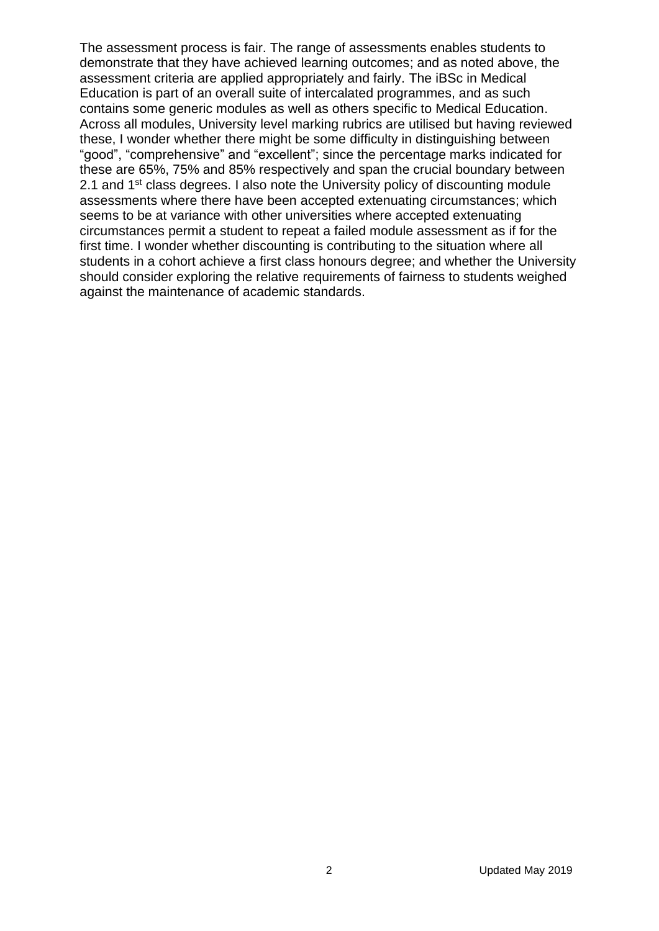The assessment process is fair. The range of assessments enables students to demonstrate that they have achieved learning outcomes; and as noted above, the assessment criteria are applied appropriately and fairly. The iBSc in Medical Education is part of an overall suite of intercalated programmes, and as such contains some generic modules as well as others specific to Medical Education. Across all modules, University level marking rubrics are utilised but having reviewed these, I wonder whether there might be some difficulty in distinguishing between "good", "comprehensive" and "excellent"; since the percentage marks indicated for these are 65%, 75% and 85% respectively and span the crucial boundary between 2.1 and 1<sup>st</sup> class degrees. I also note the University policy of discounting module assessments where there have been accepted extenuating circumstances; which seems to be at variance with other universities where accepted extenuating circumstances permit a student to repeat a failed module assessment as if for the first time. I wonder whether discounting is contributing to the situation where all students in a cohort achieve a first class honours degree; and whether the University should consider exploring the relative requirements of fairness to students weighed against the maintenance of academic standards.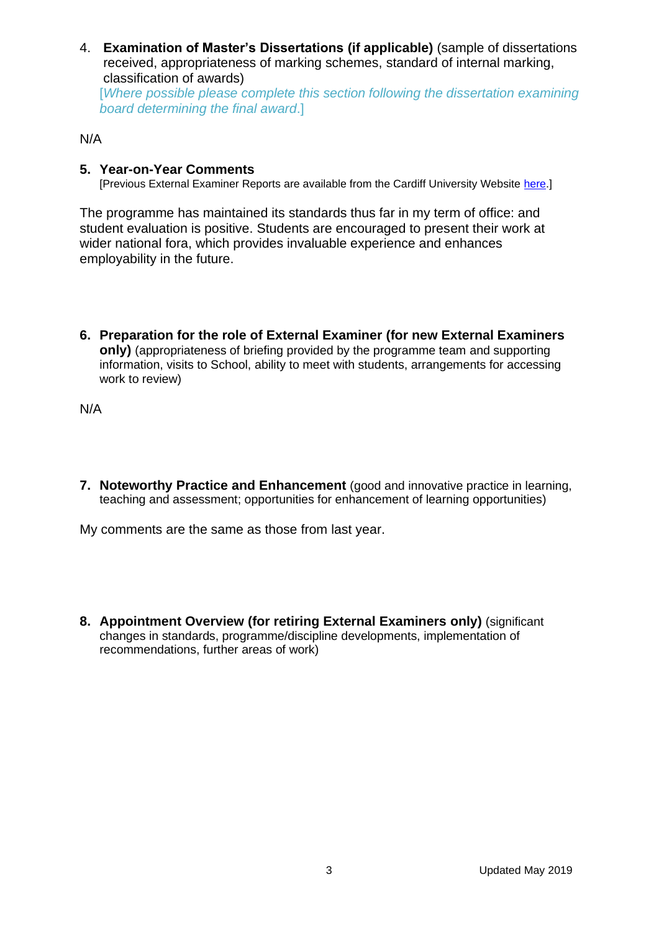4. **Examination of Master's Dissertations (if applicable)** (sample of dissertations received, appropriateness of marking schemes, standard of internal marking, classification of awards) [*Where possible please complete this section following the dissertation examining* 

*board determining the final award*.]

### N/A

## **5. Year-on-Year Comments**

[Previous External Examiner Reports are available from the Cardiff University Website [here.](https://www.cardiff.ac.uk/public-information/quality-and-standards/external-examiner-reports)]

The programme has maintained its standards thus far in my term of office: and student evaluation is positive. Students are encouraged to present their work at wider national fora, which provides invaluable experience and enhances employability in the future.

**6. Preparation for the role of External Examiner (for new External Examiners only)** (appropriateness of briefing provided by the programme team and supporting information, visits to School, ability to meet with students, arrangements for accessing work to review)

N/A

**7. Noteworthy Practice and Enhancement** (good and innovative practice in learning, teaching and assessment; opportunities for enhancement of learning opportunities)

My comments are the same as those from last year.

**8. Appointment Overview (for retiring External Examiners only)** (significant changes in standards, programme/discipline developments, implementation of recommendations, further areas of work)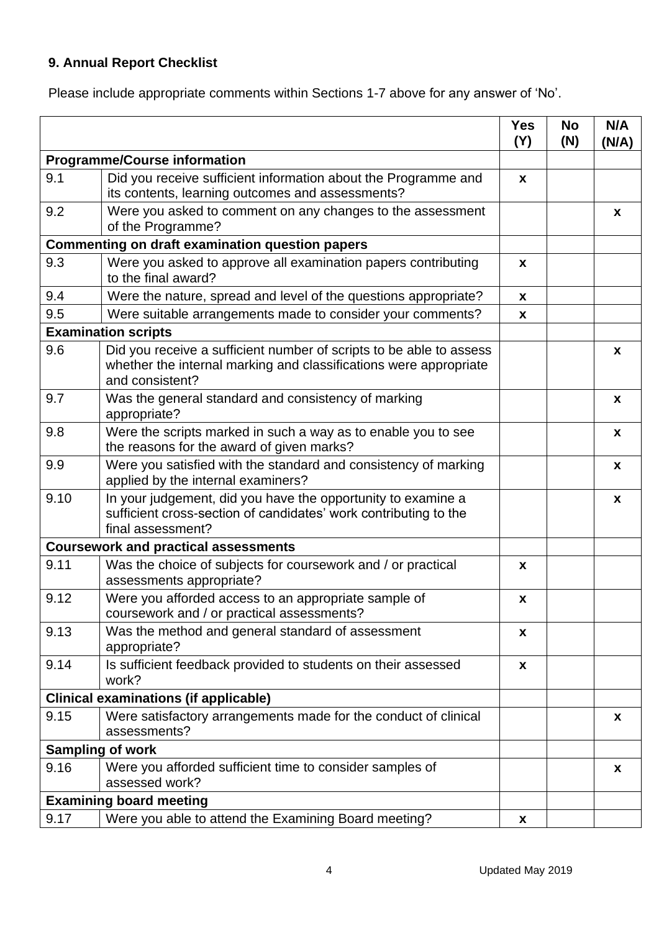# **9. Annual Report Checklist**

Please include appropriate comments within Sections 1-7 above for any answer of 'No'.

|                                              |                                                                                                                                                             | <b>Yes</b><br>(Y)  | <b>No</b><br>(N) | N/A<br>(N/A) |
|----------------------------------------------|-------------------------------------------------------------------------------------------------------------------------------------------------------------|--------------------|------------------|--------------|
| <b>Programme/Course information</b>          |                                                                                                                                                             |                    |                  |              |
| 9.1                                          | Did you receive sufficient information about the Programme and<br>its contents, learning outcomes and assessments?                                          | X                  |                  |              |
| 9.2                                          | Were you asked to comment on any changes to the assessment<br>of the Programme?                                                                             |                    |                  | X            |
|                                              | <b>Commenting on draft examination question papers</b>                                                                                                      |                    |                  |              |
| 9.3                                          | Were you asked to approve all examination papers contributing<br>to the final award?                                                                        | X                  |                  |              |
| 9.4                                          | Were the nature, spread and level of the questions appropriate?                                                                                             | X                  |                  |              |
| 9.5                                          | Were suitable arrangements made to consider your comments?                                                                                                  | X                  |                  |              |
|                                              | <b>Examination scripts</b>                                                                                                                                  |                    |                  |              |
| 9.6                                          | Did you receive a sufficient number of scripts to be able to assess<br>whether the internal marking and classifications were appropriate<br>and consistent? |                    |                  | $\mathbf{x}$ |
| 9.7                                          | Was the general standard and consistency of marking<br>appropriate?                                                                                         |                    |                  | $\mathbf{x}$ |
| 9.8                                          | Were the scripts marked in such a way as to enable you to see<br>the reasons for the award of given marks?                                                  |                    |                  | X            |
| 9.9                                          | Were you satisfied with the standard and consistency of marking<br>applied by the internal examiners?                                                       |                    |                  | X            |
| 9.10                                         | In your judgement, did you have the opportunity to examine a<br>sufficient cross-section of candidates' work contributing to the<br>final assessment?       |                    |                  | $\mathbf{x}$ |
|                                              | <b>Coursework and practical assessments</b>                                                                                                                 |                    |                  |              |
| 9.11                                         | Was the choice of subjects for coursework and / or practical<br>assessments appropriate?                                                                    | X.                 |                  |              |
| 9.12                                         | Were you afforded access to an appropriate sample of<br>coursework and / or practical assessments?                                                          | $\pmb{\mathsf{x}}$ |                  |              |
| 9.13                                         | Was the method and general standard of assessment<br>appropriate?                                                                                           | X.                 |                  |              |
| 9.14                                         | Is sufficient feedback provided to students on their assessed<br>work?                                                                                      | X                  |                  |              |
| <b>Clinical examinations (if applicable)</b> |                                                                                                                                                             |                    |                  |              |
| 9.15                                         | Were satisfactory arrangements made for the conduct of clinical<br>assessments?                                                                             |                    |                  | X            |
| <b>Sampling of work</b>                      |                                                                                                                                                             |                    |                  |              |
| 9.16                                         | Were you afforded sufficient time to consider samples of<br>assessed work?                                                                                  |                    |                  | X            |
|                                              | <b>Examining board meeting</b>                                                                                                                              |                    |                  |              |
| 9.17                                         | Were you able to attend the Examining Board meeting?                                                                                                        | X                  |                  |              |